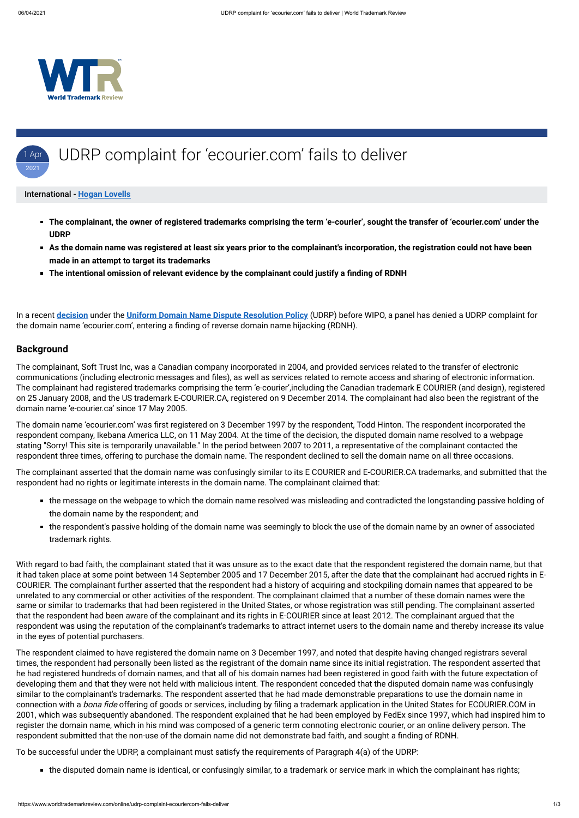

- **The complainant, the owner of registered trademarks comprising the term 'e-courier', sought the transfer of 'ecourier.com' under the UDRP**
- **As the domain name was registered at least six years prior to the complainant's incorporation, the registration could not have been made in an attempt to target its trademarks**
- **The intentional omission of relevant evidence by the complainant could justify a finding of RDNH**

#### 1 Apr 2021 UDRP complaint for 'ecourier.com' fails to deliver

#### International - **[Hogan Lovells](https://www.worldtrademarkreview.com/Daily/Contributors#France)**

In a recent **[decision](https://www.wipo.int/amc/en/domains/search/text.jsp?case=D2020-2640)** under the **[Uniform Domain Name Dispute Resolution Policy](https://www.icann.org/resources/pages/help/dndr/udrp-en)** (UDRP) before WIPO, a panel has denied a UDRP complaint for the domain name 'ecourier.com', entering a finding of reverse domain name hijacking (RDNH).

#### **Background**

The domain name 'ecourier.com' was first registered on 3 December 1997 by the respondent, Todd Hinton. The respondent incorporated the respondent company, Ikebana America LLC, on 11 May 2004. At the time of the decision, the disputed domain name resolved to a webpage stating "Sorry! This site is temporarily unavailable." In the period between 2007 to 2011, a representative of the complainant contacted the respondent three times, offering to purchase the domain name. The respondent declined to sell the domain name on all three occasions.

The complainant, Soft Trust Inc, was a Canadian company incorporated in 2004, and provided services related to the transfer of electronic communications (including electronic messages and files), as well as services related to remote access and sharing of electronic information. The complainant had registered trademarks comprising the term 'e-courier',including the Canadian trademark E COURIER (and design), registered on 25 January 2008, and the US trademark E-COURIER.CA, registered on 9 December 2014. The complainant had also been the registrant of the domain name 'e-courier.ca' since 17 May 2005.

The respondent claimed to have registered the domain name on 3 December 1997, and noted that despite having changed registrars several times, the respondent had personally been listed as the registrant of the domain name since its initial registration. The respondent asserted that he had registered hundreds of domain names, and that all of his domain names had been registered in good faith with the future expectation of developing them and that they were not held with malicious intent. The respondent conceded that the disputed domain name was confusingly similar to the complainant's trademarks. The respondent asserted that he had made demonstrable preparations to use the domain name in connection with a *bona fide* offering of goods or services, including by filing a trademark application in the United States for ECOURIER.COM in 2001, which was subsequently abandoned. The respondent explained that he had been employed by FedEx since 1997, which had inspired him to register the domain name, which in his mind was composed of a generic term connoting electronic courier, or an online delivery person. The respondent submitted that the non-use of the domain name did not demonstrate bad faith, and sought a finding of RDNH.

The complainant asserted that the domain name was confusingly similar to its E COURIER and E-COURIER.CA trademarks, and submitted that the respondent had no rights or legitimate interests in the domain name. The complainant claimed that:

- the message on the webpage to which the domain name resolved was misleading and contradicted the longstanding passive holding of the domain name by the respondent; and
- the respondent's passive holding of the domain name was seemingly to block the use of the domain name by an owner of associated trademark rights.

With regard to bad faith, the complainant stated that it was unsure as to the exact date that the respondent registered the domain name, but that it had taken place at some point between 14 September 2005 and 17 December 2015, after the date that the complainant had accrued rights in E-COURIER. The complainant further asserted that the respondent had a history of acquiring and stockpiling domain names that appeared to be unrelated to any commercial or other activities of the respondent. The complainant claimed that a number of these domain names were the same or similar to trademarks that had been registered in the United States, or whose registration was still pending. The complainant asserted that the respondent had been aware of the complainant and its rights in E-COURIER since at least 2012. The complainant argued that the respondent was using the reputation of the complainant's trademarks to attract internet users to the domain name and thereby increase its value in the eyes of potential purchasers.

To be successful under the UDRP, a complainant must satisfy the requirements of Paragraph 4(a) of the UDRP:

■ the disputed domain name is identical, or confusingly similar, to a trademark or service mark in which the complainant has rights;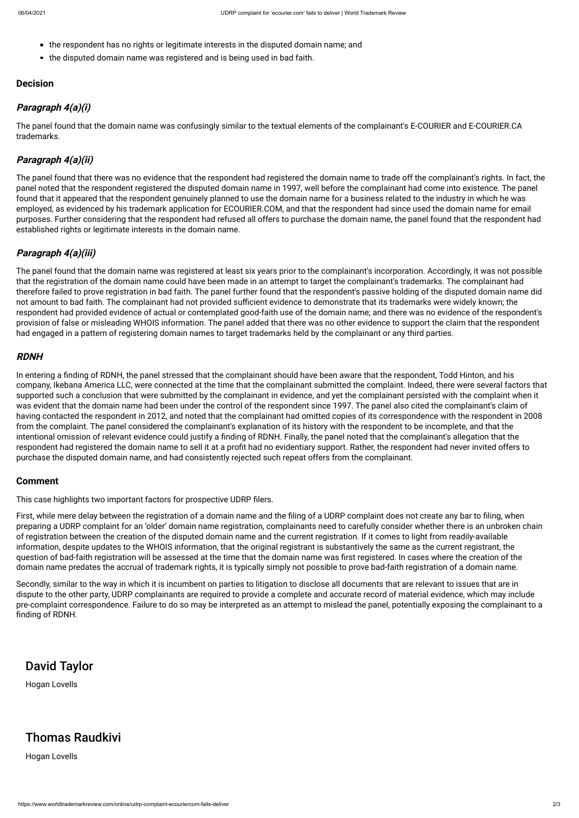https://www.worldtrademarkreview.com/online/udrp-complaint-ecouriercom-fails-deliver 2/3

- the respondent has no rights or legitimate interests in the disputed domain name; and
- the disputed domain name was registered and is being used in bad faith.

### **Decision**

## **Paragraph 4(a)(i)**

The panel found that the domain name was confusingly similar to the textual elements of the complainant's E-COURIER and E-COURIER.CA trademarks.

## **Paragraph 4(a)(ii)**

The panel found that there was no evidence that the respondent had registered the domain name to trade off the complainant's rights. In fact, the panel noted that the respondent registered the disputed domain name in 1997, well before the complainant had come into existence. The panel found that it appeared that the respondent genuinely planned to use the domain name for a business related to the industry in which he was employed, as evidenced by his trademark application for ECOURIER.COM, and that the respondent had since used the domain name for email purposes. Further considering that the respondent had refused all offers to purchase the domain name, the panel found that the respondent had established rights or legitimate interests in the domain name.

## **Paragraph 4(a)(iii)**

In entering a finding of RDNH, the panel stressed that the complainant should have been aware that the respondent, Todd Hinton, and his company, Ikebana America LLC, were connected at the time that the complainant submitted the complaint. Indeed, there were several factors that supported such a conclusion that were submitted by the complainant in evidence, and yet the complainant persisted with the complaint when it was evident that the domain name had been under the control of the respondent since 1997. The panel also cited the complainant's claim of having contacted the respondent in 2012, and noted that the complainant had omitted copies of its correspondence with the respondent in 2008 from the complaint. The panel considered the complainant's explanation of its history with the respondent to be incomplete, and that the intentional omission of relevant evidence could justify a finding of RDNH. Finally, the panel noted that the complainant's allegation that the respondent had registered the domain name to sell it at a profit had no evidentiary support. Rather, the respondent had never invited offers to purchase the disputed domain name, and had consistently rejected such repeat offers from the complainant.

The panel found that the domain name was registered at least six years prior to the complainant's incorporation. Accordingly, it was not possible that the registration of the domain name could have been made in an attempt to target the complainant's trademarks. The complainant had therefore failed to prove registration in bad faith. The panel further found that the respondent's passive holding of the disputed domain name did not amount to bad faith. The complainant had not provided sufficient evidence to demonstrate that its trademarks were widely known; the respondent had provided evidence of actual or contemplated good-faith use of the domain name; and there was no evidence of the respondent's provision of false or misleading WHOIS information. The panel added that there was no other evidence to support the claim that the respondent had engaged in a pattern of registering domain names to target trademarks held by the complainant or any third parties.

First, while mere delay between the registration of a domain name and the filing of a UDRP complaint does not create any bar to filing, when preparing a UDRP complaint for an 'older' domain name registration, complainants need to carefully consider whether there is an unbroken chain of registration between the creation of the disputed domain name and the current registration. If it comes to light from readily-available information, despite updates to the WHOIS information, that the original registrant is substantively the same as the current registrant, the question of bad-faith registration will be assessed at the time that the domain name was first registered. In cases where the creation of the domain name predates the accrual of trademark rights, it is typically simply not possible to prove bad-faith registration of a domain name.

Secondly, similar to the way in which it is incumbent on parties to litigation to disclose all documents that are relevant to issues that are in dispute to the other party, UDRP complainants are required to provide a complete and accurate record of material evidence, which may include pre-complaint correspondence. Failure to do so may be interpreted as an attempt to mislead the panel, potentially exposing the complainant to a finding of RDNH.

### **RDNH**

### **Comment**

This case highlights two important factors for prospective UDRP filers.

# David Taylor

Hogan Lovells

# Thomas Raudkivi

Hogan Lovells